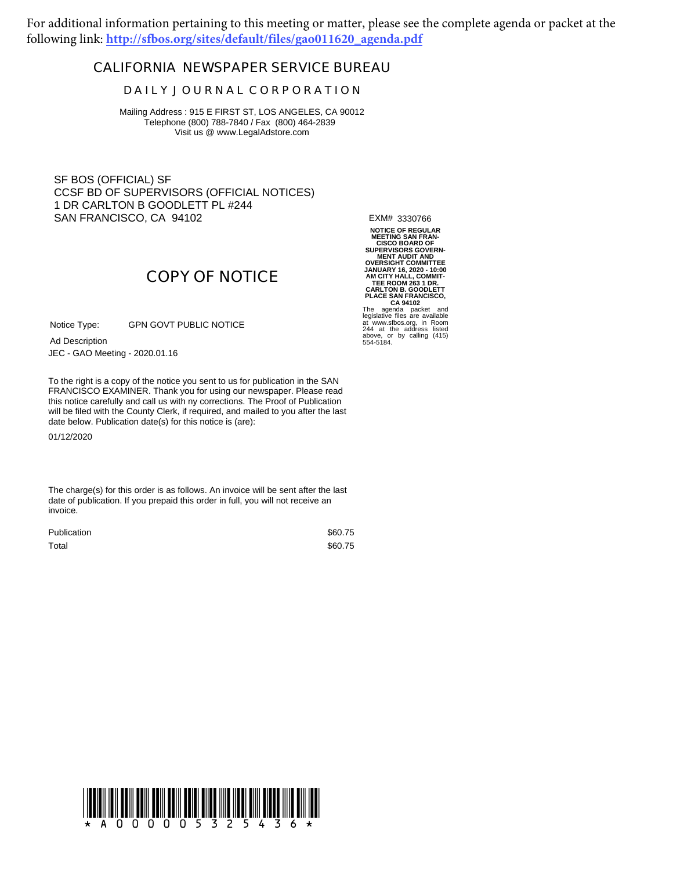For additional information pertaining to this meeting or matter, please see the complete agenda or packet at the following link: **http://sfbos.org/sites/default/files/gao011620\_agenda.pdf**

## **CALIFORNIA NEWSPAPER SERVICE BUREAU**

## **D A I L Y J O U R N A L C O R P O R A T I O N**

Mailing Address : 915 E FIRST ST, LOS ANGELES, CA 90012 Telephone (800) 788-7840 / Fax (800) 464-2839 Visit us @ www.LegalAdstore.com

SF BOS (OFFICIAL) SF CCSF BD OF SUPERVISORS (OFFICIAL NOTICES) 1 DR CARLTON B GOODLETT PL #244 SAN FRANCISCO, CA 94102

EXM# 3330766

NOTICE OF REGULAR<br>MEETING SAN FRAN-<br>CISCO BOARD OF<br>SUPERVISORS GOVERN-<br>MENT AUDIT AND<br>OVERSIGHT COMMITTEE<br>JANUARY 16, 2020 - 10:00<br>ANUARY 16, 2020 - 10:00<br>CARLTON B. GOODLETT<br>PLACE SAN FRANCISCO,<br>The agenda packet and<br>at w

## **COPY OF NOTICE**

GPN GOVT PUBLIC NOTICE Notice Type:

JEC - GAO Meeting - 2020.01.16 Ad Description

FRANCISCO EXAMINER. Thank you for using our newspaper. Please read<br>this notice carefully and call us with ny corrections. The Proof of Publication To the right is a copy of the notice you sent to us for publication in the SAN FRANCISCO EXAMINER. Thank you for using our newspaper. Please read will be filed with the County Clerk, if required, and mailed to you after the last date below. Publication date(s) for this notice is (are):

01/12/2020

The charge(s) for this order is as follows. An invoice will be sent after the last date of publication. If you prepaid this order in full, you will not receive an invoice.

| Publication | \$60.75 |
|-------------|---------|
| Total       | \$60.75 |